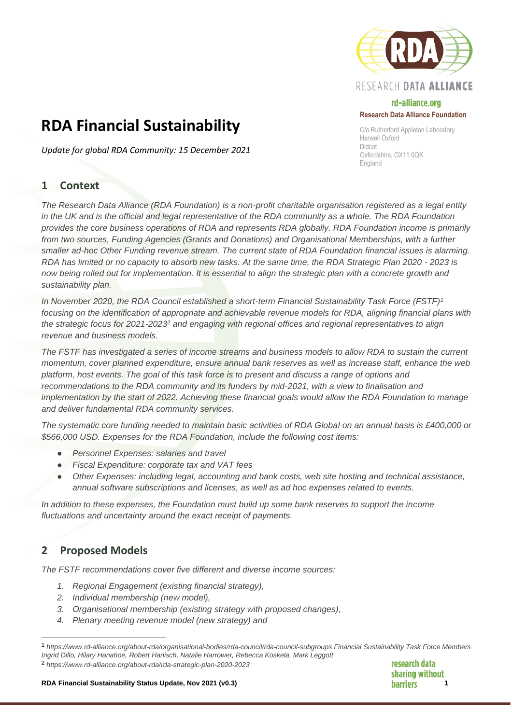

## rd-alliance.org **Research Data Alliance Foundation**

C/o Rutherford Appleton Laboratory Harwell Oxford Didcot Oxfordshire, OX11 0QX England

# **RDA Financial Sustainability**

*Update for global RDA Community: 15 December 2021*

# **1 Context**

*The Research Data Alliance (RDA Foundation) is a non-profit charitable organisation registered as a legal entity in the UK and is the official and legal representative of the RDA community as a whole. The RDA Foundation provides the core business operations of RDA and represents RDA globally. RDA Foundation income is primarily from two sources, Funding Agencies (Grants and Donations) and Organisational Memberships, with a further smaller ad-hoc Other Funding revenue stream. The current state of RDA Foundation financial issues is alarming. RDA has limited or no capacity to absorb new tasks. At the same time, the RDA Strategic Plan 2020 - 2023 is now being rolled out for implementation. It is essential to align the strategic plan with a concrete growth and sustainability plan.*

*In November 2020, the RDA Council established a short-term Financial Sustainability Task Force (FSTF)<sup>1</sup> focusing on the identification of appropriate and achievable revenue models for RDA, aligning financial plans with the strategic focus for 2021-2023<sup>2</sup> and engaging with regional offices and regional representatives to align revenue and business models.*

*The FSTF has investigated a series of income streams and business models to allow RDA to sustain the current momentum, cover planned expenditure, ensure annual bank reserves as well as increase staff, enhance the web platform, host events. The goal of this task force is to present and discuss a range of options and recommendations to the RDA community and its funders by mid-2021, with a view to finalisation and implementation by the start of 2022. Achieving these financial goals would allow the RDA Foundation to manage and deliver fundamental RDA community services.*

*The systematic core funding needed to maintain basic activities of RDA Global on an annual basis is £400,000 or \$566,000 USD. Expenses for the RDA Foundation, include the following cost items:*

- **Personnel Expenses: salaries and travel**
- *Fiscal Expenditure: corporate tax and VAT fees*
- *Other Expenses: including legal, accounting and bank costs, web site hosting and technical assistance, annual software subscriptions and licenses, as well as ad hoc expenses related to events.*

*In addition to these expenses, the Foundation must build up some bank reserves to support the income fluctuations and uncertainty around the exact receipt of payments.*

# **2 Proposed Models**

*The FSTF recommendations cover five different and diverse income sources:* 

- *1. Regional Engagement (existing financial strategy),*
- *2. Individual membership (new model),*
- *3. Organisational membership (existing strategy with proposed changes),*
- *4. Plenary meeting revenue model (new strategy) and*

<sup>2</sup> *https://www.rd-alliance.org/about-rda/rda-strategic-plan-2020-2023* 

research data sharing without

#### **RDA Financial Sustainability Status Update, Nov 2021 (v0.3) 1**

<sup>1</sup> *https://www.rd-alliance.org/about-rda/organisational-bodies/rda-council/rda-council-subgroups Financial Sustainability Task Force Members Ingrid Dillo, Hilary Hanahoe, Robert Hanisch, Natalie Harrower, Rebecca Koskela, Mark Leggott*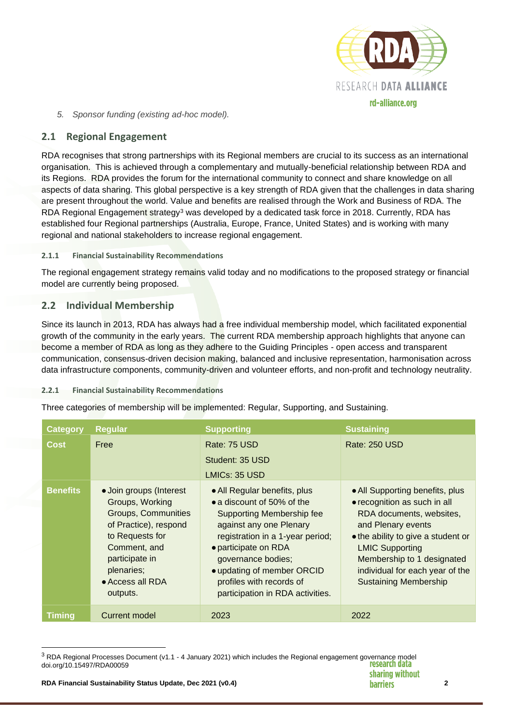

*5. Sponsor funding (existing ad-hoc model).*

## **2.1 Regional Engagement**

RDA recognises that strong partnerships with its Regional members are crucial to its success as an international organisation. This is achieved through a complementary and mutually-beneficial relationship between RDA and its Regions. RDA provides the forum for the international community to connect and share knowledge on all aspects of data sharing. This global perspective is a key strength of RDA given that the challenges in data sharing are present throughout the world. Value and benefits are realised through the Work and Business of RDA. The RDA Regional Engagement strategy<sup>3</sup> was developed by a dedicated task force in 2018. Currently, RDA has established four Regional partnerships (Australia, Europe, France, United States) and is working with many regional and national stakeholders to increase regional engagement.

#### **2.1.1 Financial Sustainability Recommendations**

The regional engagement strategy remains valid today and no modifications to the proposed strategy or financial model are currently being proposed.

## **2.2 Individual Membership**

Since its launch in 2013, RDA has always had a free individual membership model, which facilitated exponential growth of the community in the early years. The current RDA membership approach highlights that anyone can become a member of RDA as long as they adhere to the Guiding Principles - open access and transparent communication, consensus-driven decision making, balanced and inclusive representation, harmonisation across data infrastructure components, community-driven and volunteer efforts, and non-profit and technology neutrality.

#### **2.2.1 Financial Sustainability Recommendations**

Three categories of membership will be implemented: Regular, Supporting, and Sustaining.

| <b>Category</b> | Regular                                                                                                                                                                                              | <b>Supporting</b>                                                                                                                                                                                                                                                                                         | <b>Sustaining</b>                                                                                                                                                                                                                                                                  |
|-----------------|------------------------------------------------------------------------------------------------------------------------------------------------------------------------------------------------------|-----------------------------------------------------------------------------------------------------------------------------------------------------------------------------------------------------------------------------------------------------------------------------------------------------------|------------------------------------------------------------------------------------------------------------------------------------------------------------------------------------------------------------------------------------------------------------------------------------|
| <b>Cost</b>     | Free                                                                                                                                                                                                 | Rate: 75 USD<br>Student: 35 USD<br>LMICs: 35 USD                                                                                                                                                                                                                                                          | Rate: 250 USD                                                                                                                                                                                                                                                                      |
| <b>Benefits</b> | • Join groups (Interest<br>Groups, Working<br><b>Groups, Communities</b><br>of Practice), respond<br>to Requests for<br>Comment, and<br>participate in<br>plenaries;<br>• Access all RDA<br>outputs. | • All Regular benefits, plus<br>• a discount of 50% of the<br><b>Supporting Membership fee</b><br>against any one Plenary<br>registration in a 1-year period;<br>• participate on RDA<br>governance bodies;<br>• updating of member ORCID<br>profiles with records of<br>participation in RDA activities. | • All Supporting benefits, plus<br>• recognition as such in all<br>RDA documents, websites,<br>and Plenary events<br>• the ability to give a student or<br><b>LMIC Supporting</b><br>Membership to 1 designated<br>individual for each year of the<br><b>Sustaining Membership</b> |
| <b>Timing</b>   | Current model                                                                                                                                                                                        | 2023                                                                                                                                                                                                                                                                                                      | 2022                                                                                                                                                                                                                                                                               |

 $3$  RDA Regional Processes Document (v1.1 - 4 January 2021) which includes the Regional engagement governance model<br>doi org/10 15497/RDA00059 doi.org/10.15497/RDA00059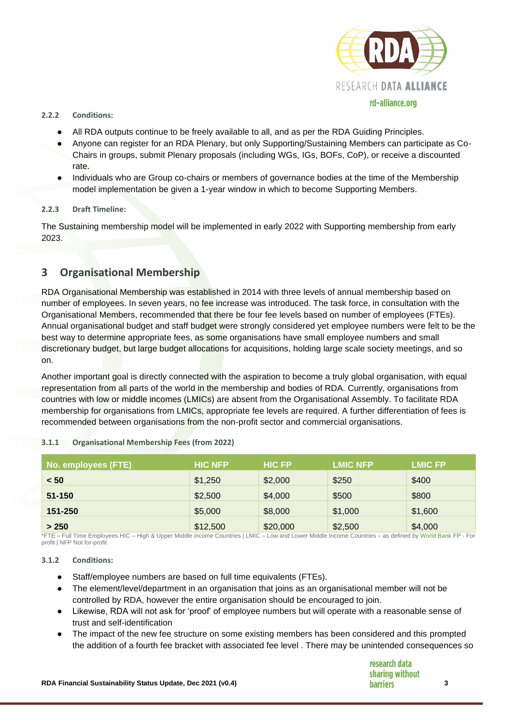

#### **2.2.2 Conditions:**

- All RDA outputs continue to be freely available to all, and as per the RDA Guiding Principles.
- Anyone can register for an RDA Plenary, but only Supporting/Sustaining Members can participate as Co-Chairs in groups, submit Plenary proposals (including WGs, IGs, BOFs, CoP), or receive a discounted rate.
- Individuals who are Group co-chairs or members of governance bodies at the time of the Membership model implementation be given a 1-year window in which to become Supporting Members.

#### **2.2.3 Draft Timeline:**

The Sustaining membership model will be implemented in early 2022 with Supporting membership from early 2023.

# **3 Organisational Membership**

RDA Organisational Membership was established in 2014 with three levels of annual membership based on number of employees. In seven years, no fee increase was introduced. The task force, in consultation with the Organisational Members, recommended that there be four fee levels based on number of employees (FTEs). Annual organisational budget and staff budget were strongly considered yet employee numbers were felt to be the best way to determine appropriate fees, as some organisations have small employee numbers and small discretionary budget, but large budget allocations for acquisitions, holding large scale society meetings, and so on.

Another important goal is directly connected with the aspiration to become a truly global organisation, with equal representation from all parts of the world in the membership and bodies of RDA. Currently, organisations from countries with low or middle incomes (LMICs) are absent from the Organisational Assembly. To facilitate RDA membership for organisations from LMICs, appropriate fee levels are required. A further differentiation of fees is recommended between organisations from the non-profit sector and commercial organisations.

| 3.1.1 | <b>Organisational Membership Fees (from 2022)</b> |  |  |  |  |
|-------|---------------------------------------------------|--|--|--|--|
|-------|---------------------------------------------------|--|--|--|--|

| No. employees (FTE) | <b>HIC NFP</b> | <b>HIC FP</b> | <b>LMIC NFP</b> | <b>LMIC FP</b> |
|---------------------|----------------|---------------|-----------------|----------------|
| < 50                | \$1,250        | \$2,000       | \$250           | \$400          |
| $51 - 150$          | \$2,500        | \$4,000       | \$500           | \$800          |
| 151-250             | \$5,000        | \$8,000       | \$1,000         | \$1,600        |
| > 250               | \$12,500       | \$20,000      | \$2,500         | \$4,000        |

\*FTE – Full Time Employees HIC – High & Upper Middle income Countries | LMIC – Low and Lower Middle Income Countries – as defined by World Bank FP - For profit | NFP Not for-profit

#### **3.1.2 Conditions:**

- Staff/employee numbers are based on full time equivalents (FTEs).
- The element/level/department in an organisation that joins as an organisational member will not be controlled by RDA, however the entire organisation should be encouraged to join.
- Likewise, RDA will not ask for 'proof' of employee numbers but will operate with a reasonable sense of trust and self-identification
- The impact of the new fee structure on some existing members has been considered and this prompted the addition of a fourth fee bracket with associated fee level . There may be unintended consequences so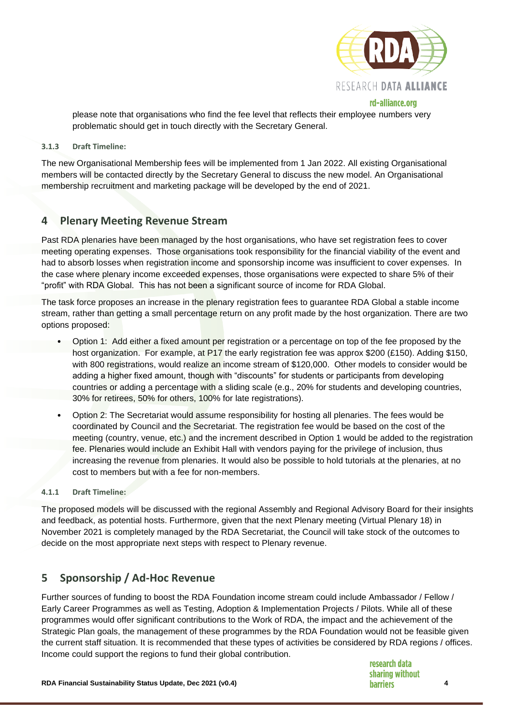

rd-alliance.org

please note that organisations who find the fee level that reflects their employee numbers very problematic should get in touch directly with the Secretary General.

#### **3.1.3 Draft Timeline:**

The new Organisational Membership fees will be implemented from 1 Jan 2022. All existing Organisational members will be contacted directly by the Secretary General to discuss the new model. An Organisational membership recruitment and marketing package will be developed by the end of 2021.

## **4 Plenary Meeting Revenue Stream**

Past RDA plenaries have been managed by the host organisations, who have set registration fees to cover meeting operating expenses. Those organisations took responsibility for the financial viability of the event and had to absorb losses when registration income and sponsorship income was insufficient to cover expenses. In the case where plenary income exceeded expenses, those organisations were expected to share 5% of their "profit" with RDA Global. This has not been a significant source of income for RDA Global.

The task force proposes an increase in the plenary registration fees to guarantee RDA Global a stable income stream, rather than getting a small percentage return on any profit made by the host organization. There are two options proposed:

- Option 1: Add either a fixed amount per registration or a percentage on top of the fee proposed by the host organization. For example, at P17 the early registration fee was approx \$200 (£150). Adding \$150, with 800 registrations, would realize an income stream of \$120,000. Other models to consider would be adding a higher fixed amount, though with "discounts" for students or participants from developing countries or adding a percentage with a sliding scale (e.g., 20% for students and developing countries, 30% for retirees, 50% for others, 100% for late registrations).
- Option 2: The Secretariat would assume responsibility for hosting all plenaries. The fees would be coordinated by Council and the Secretariat. The registration fee would be based on the cost of the meeting (country, venue, etc.) and the increment described in Option 1 would be added to the registration fee. Plenaries would include an Exhibit Hall with vendors paying for the privilege of inclusion, thus increasing the revenue from plenaries. It would also be possible to hold tutorials at the plenaries, at no cost to members but with a fee for non-members.

#### **4.1.1 Draft Timeline:**

The proposed models will be discussed with the regional Assembly and Regional Advisory Board for their insights and feedback, as potential hosts. Furthermore, given that the next Plenary meeting (Virtual Plenary 18) in November 2021 is completely managed by the RDA Secretariat, the Council will take stock of the outcomes to decide on the most appropriate next steps with respect to Plenary revenue.

### **5 Sponsorship / Ad-Hoc Revenue**

Further sources of funding to boost the RDA Foundation income stream could include Ambassador / Fellow / Early Career Programmes as well as Testing, Adoption & Implementation Projects / Pilots. While all of these programmes would offer significant contributions to the Work of RDA, the impact and the achievement of the Strategic Plan goals, the management of these programmes by the RDA Foundation would not be feasible given the current staff situation. It is recommended that these types of activities be considered by RDA regions / offices. Income could support the regions to fund their global contribution.

research data sharing without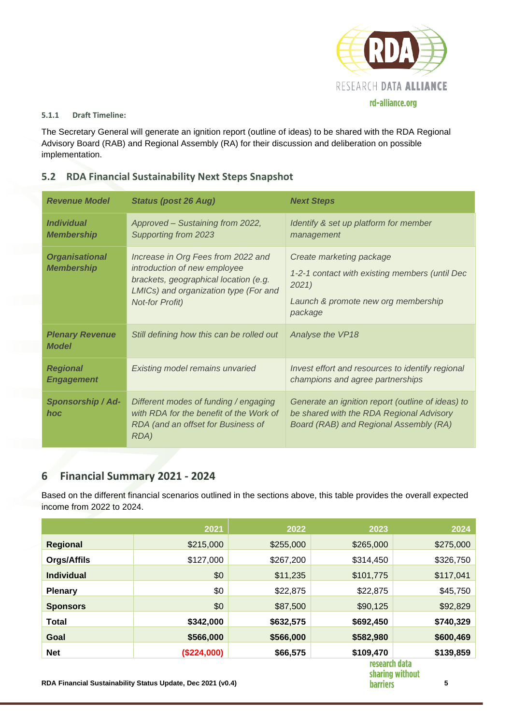

#### **5.1.1 Draft Timeline:**

The Secretary General will generate an ignition report (outline of ideas) to be shared with the RDA Regional Advisory Board (RAB) and Regional Assembly (RA) for their discussion and deliberation on possible implementation.

| <b>Revenue Model</b>                          | <b>Status (post 26 Aug)</b>                                                                                                                                                    | <b>Next Steps</b>                                                                                                                       |
|-----------------------------------------------|--------------------------------------------------------------------------------------------------------------------------------------------------------------------------------|-----------------------------------------------------------------------------------------------------------------------------------------|
| <i><b>Individual</b></i><br><b>Membership</b> | Approved - Sustaining from 2022,<br>Supporting from 2023                                                                                                                       | Identify & set up platform for member<br>management                                                                                     |
| <b>Organisational</b><br><b>Membership</b>    | Increase in Org Fees from 2022 and<br>introduction of new employee<br>brackets, geographical location (e.g.<br>LMICs) and organization type (For and<br><b>Not-for Profit)</b> | Create marketing package<br>1-2-1 contact with existing members (until Dec<br>2021<br>Launch & promote new org membership<br>package    |
| <b>Plenary Revenue</b><br><b>Model</b>        | Still defining how this can be rolled out                                                                                                                                      | Analyse the VP18                                                                                                                        |
| <b>Regional</b><br><b>Engagement</b>          | Existing model remains unvaried                                                                                                                                                | Invest effort and resources to identify regional<br>champions and agree partnerships                                                    |
| Sponsorship / Ad-<br>hoc                      | Different modes of funding / engaging<br>with RDA for the benefit of the Work of<br>RDA (and an offset for Business of<br>RDA)                                                 | Generate an ignition report (outline of ideas) to<br>be shared with the RDA Regional Advisory<br>Board (RAB) and Regional Assembly (RA) |

# **5.2 RDA Financial Sustainability Next Steps Snapshot**

# **6 Financial Summary 2021 - 2024**

Based on the different financial scenarios outlined in the sections above, this table provides the overall expected income from 2022 to 2024.

|                   | 2021        | 2022      | 2023          | 2024                     |
|-------------------|-------------|-----------|---------------|--------------------------|
| <b>Regional</b>   | \$215,000   | \$255,000 | \$265,000     | \$275,000                |
| Orgs/Affils       | \$127,000   | \$267,200 | \$314,450     | \$326,750                |
| <b>Individual</b> | \$0         | \$11,235  | \$101,775     | \$117,041                |
| <b>Plenary</b>    | \$0         | \$22,875  | \$22,875      | \$45,750                 |
| <b>Sponsors</b>   | \$0         | \$87,500  | \$90,125      | \$92,829                 |
| <b>Total</b>      | \$342,000   | \$632,575 | \$692,450     | \$740,329                |
| Goal              | \$566,000   | \$566,000 | \$582,980     | \$600,469                |
| <b>Net</b>        | (\$224,000) | \$66,575  | \$109,470     | \$139,859                |
|                   |             |           | research data | بالمصطلقاتين بممتاح مالم |

sharing without